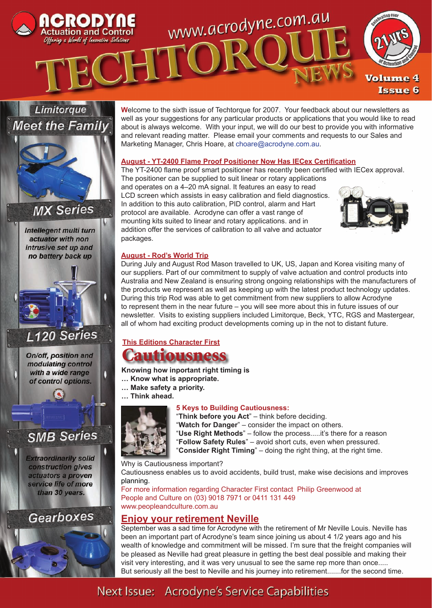



Intellegent multi turn actuator with non intrusive set up and no battery back up



On/off, position and modulating control with a wide range of control options.

0

# **SMB Series**

**Extraordinarily solid** construction gives actuators a proven service life of more than 30 years.

**Gearboxes** 

#### **W**elcome to the sixth issue of Techtorque for 2007. Your feedback about our newsletters as well as your suggestions for any particular products or applications that you would like to read about is always welcome. With your input, we will do our best to provide you with informative and relevant reading matter. Please email your comments and requests to our Sales and Marketing Manager, Chris Hoare, at choare@acrodyne.com.au.

### **August - YT-2400 Flame Proof Positioner Now Has IECex Certification**

The YT-2400 flame proof smart positioner has recently been certified with IECex approval. The positioner can be supplied to suit linear or rotary applications and operates on a 4–20 mA signal. It features an easy to read LCD screen which assists in easy calibration and field diagnostics. In addition to this auto calibration, PID control, alarm and Hart

protocol are available. Acrodyne can offer a vast range of mounting kits suited to linear and rotary applications. and in addition offer the services of calibration to all valve and actuator packages.



# **August - Rod's World Trip**

During July and August Rod Mason travelled to UK, US, Japan and Korea visiting many of our suppliers. Part of our commitment to supply of valve actuation and control products into Australia and New Zealand is ensuring strong ongoing relationships with the manufacturers of the products we represent as well as keeping up with the latest product technology updates. During this trip Rod was able to get commitment from new suppliers to allow Acrodyne to represent them in the near future – you will see more about this in future issues of our newsletter. Visits to existing suppliers included Limitorque, Beck, YTC, RGS and Mastergear, all of whom had exciting product developments coming up in the not to distant future.

# **This Editions Character First**



### **Knowing how inportant right timing is**

- **… Know what is appropriate.**
- **… Make safety a priority.**
- **… Think ahead.**



# **5 Keys to Building Cautiousness:**

"**Think before you Act**" – think before deciding.

"**Watch for Danger**" – consider the impact on others.

- "**Use Right Methods**" follow the process.....it's there for a reason
- "**Follow Safety Rules**" avoid short cuts, even when pressured.
- "**Consider Right Timing**" doing the right thing, at the right time.

Why is Cautiousness important?

Cautiousness enables us to avoid accidents, build trust, make wise decisions and improves planning.

For more information regarding Character First contact Philip Greenwood at People and Culture on (03) 9018 7971 or 0411 131 449 www.peopleandculture.com.au

# **Enjoy your retirement Neville**

September was a sad time for Acrodyne with the retirement of Mr Neville Louis. Neville has been an important part of Acrodyne's team since joining us about 4 1/2 years ago and his wealth of knowledge and commitment will be missed. I'm sure that the freight companies will be pleased as Neville had great pleasure in getting the best deal possible and making their visit very interesting, and it was very unusual to see the same rep more than once..... But seriously all the best to Neville and his journey into retirement.......for the second time.

# Next Issue: Acrodyne's Service Capabilities